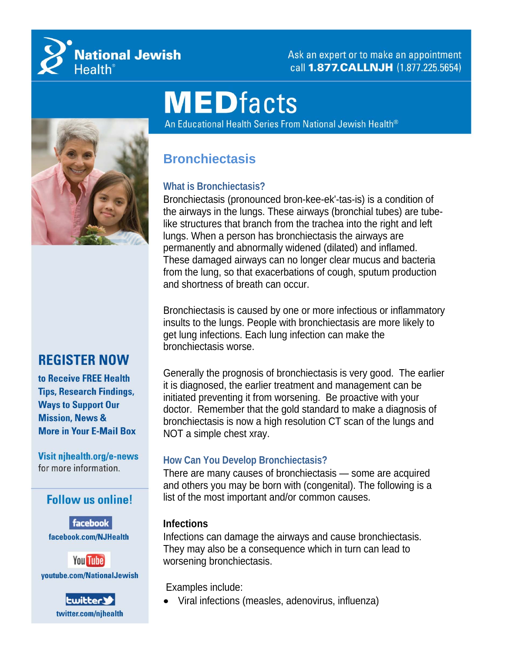

Ask an expert or to make an appointment call 1.877. CALLNJH (1.877.225.5654)

# **MEDfacts**

An Educational Health Series From National Jewish Health®



# **REGISTER NOW**

to Receive FREE Health **Tips, Research Findings, Ways to Support Our Mission, News & More in Your E-Mail Box** 

Visit njhealth.org/e-news for more information.

# **Follow us online!**

facebook facebook.com/NJHealth





# **Bronchiectasis**

# **What is Bronchiectasis?**

Bronchiectasis (pronounced bron-kee-ek'-tas-is) is a condition of the airways in the lungs. These airways (bronchial tubes) are tubelike structures that branch from the trachea into the right and left lungs. When a person has bronchiectasis the airways are permanently and abnormally widened (dilated) and inflamed. These damaged airways can no longer clear mucus and bacteria from the lung, so that exacerbations of cough, sputum production and shortness of breath can occur.

Bronchiectasis is caused by one or more infectious or inflammatory insults to the lungs. People with bronchiectasis are more likely to get lung infections. Each lung infection can make the bronchiectasis worse.

Generally the prognosis of bronchiectasis is very good. The earlier it is diagnosed, the earlier treatment and management can be initiated preventing it from worsening. Be proactive with your doctor. Remember that the gold standard to make a diagnosis of bronchiectasis is now a high resolution CT scan of the lungs and NOT a simple chest xray.

#### **How Can You Develop Bronchiectasis?**

There are many causes of bronchiectasis — some are acquired and others you may be born with (congenital). The following is a list of the most important and/or common causes.

#### **Infections**

Infections can damage the airways and cause bronchiectasis. They may also be a consequence which in turn can lead to worsening bronchiectasis.

Examples include:

Viral infections (measles, adenovirus, influenza)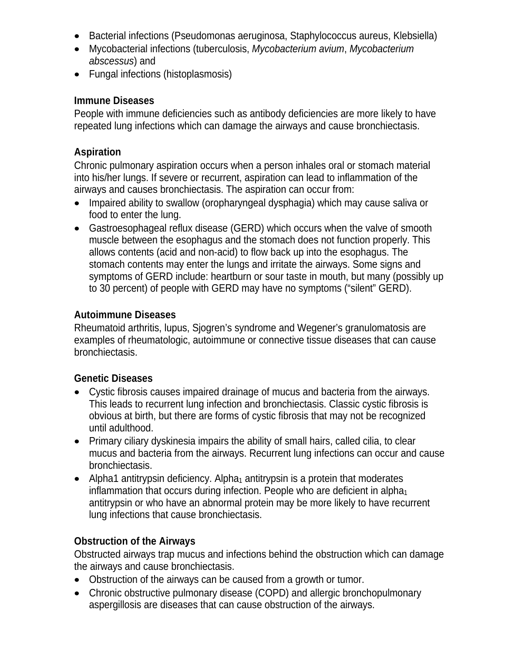- Bacterial infections (Pseudomonas aeruginosa, Staphylococcus aureus, Klebsiella)
- Mycobacterial infections (tuberculosis, *Mycobacterium avium*, *Mycobacterium abscessus*) and
- Fungal infections (histoplasmosis)

#### **Immune Diseases**

People with immune deficiencies such as antibody deficiencies are more likely to have repeated lung infections which can damage the airways and cause bronchiectasis.

#### **Aspiration**

Chronic pulmonary aspiration occurs when a person inhales oral or stomach material into his/her lungs. If severe or recurrent, aspiration can lead to inflammation of the airways and causes bronchiectasis. The aspiration can occur from:

- Impaired ability to swallow (oropharyngeal dysphagia) which may cause saliva or food to enter the lung.
- Gastroesophageal reflux disease (GERD) which occurs when the valve of smooth muscle between the esophagus and the stomach does not function properly. This allows contents (acid and non-acid) to flow back up into the esophagus. The stomach contents may enter the lungs and irritate the airways. Some signs and symptoms of GERD include: heartburn or sour taste in mouth, but many (possibly up to 30 percent) of people with GERD may have no symptoms ("silent" GERD).

#### **Autoimmune Diseases**

Rheumatoid arthritis, lupus, Sjogren's syndrome and Wegener's granulomatosis are examples of rheumatologic, autoimmune or connective tissue diseases that can cause bronchiectasis.

#### **Genetic Diseases**

- Cystic fibrosis causes impaired drainage of mucus and bacteria from the airways. This leads to recurrent lung infection and bronchiectasis. Classic cystic fibrosis is obvious at birth, but there are forms of cystic fibrosis that may not be recognized until adulthood.
- Primary ciliary dyskinesia impairs the ability of small hairs, called cilia, to clear mucus and bacteria from the airways. Recurrent lung infections can occur and cause bronchiectasis.
- Alpha1 antitrypsin deficiency. Alpha<sub>1</sub> antitrypsin is a protein that moderates inflammation that occurs during infection. People who are deficient in alpha $_1$ antitrypsin or who have an abnormal protein may be more likely to have recurrent lung infections that cause bronchiectasis.

# **Obstruction of the Airways**

Obstructed airways trap mucus and infections behind the obstruction which can damage the airways and cause bronchiectasis.

- Obstruction of the airways can be caused from a growth or tumor.
- Chronic obstructive pulmonary disease (COPD) and allergic bronchopulmonary aspergillosis are diseases that can cause obstruction of the airways.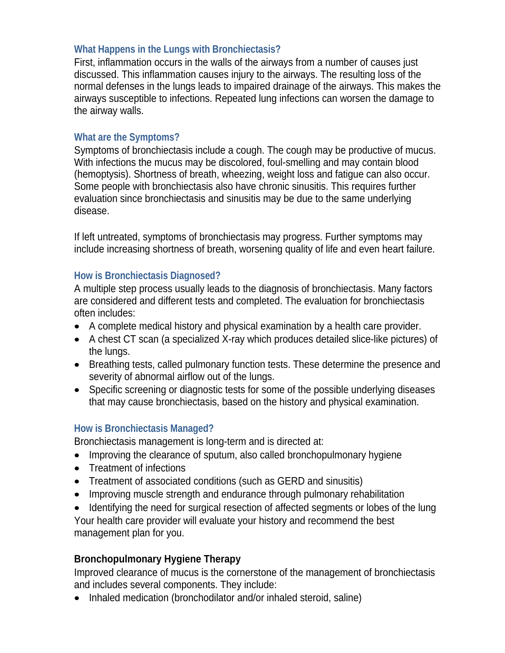#### **What Happens in the Lungs with Bronchiectasis?**

First, inflammation occurs in the walls of the airways from a number of causes just discussed. This inflammation causes injury to the airways. The resulting loss of the normal defenses in the lungs leads to impaired drainage of the airways. This makes the airways susceptible to infections. Repeated lung infections can worsen the damage to the airway walls.

#### **What are the Symptoms?**

Symptoms of bronchiectasis include a cough. The cough may be productive of mucus. With infections the mucus may be discolored, foul-smelling and may contain blood (hemoptysis). Shortness of breath, wheezing, weight loss and fatigue can also occur. Some people with bronchiectasis also have chronic sinusitis. This requires further evaluation since bronchiectasis and sinusitis may be due to the same underlying disease.

If left untreated, symptoms of bronchiectasis may progress. Further symptoms may include increasing shortness of breath, worsening quality of life and even heart failure.

#### **How is Bronchiectasis Diagnosed?**

A multiple step process usually leads to the diagnosis of bronchiectasis. Many factors are considered and different tests and completed. The evaluation for bronchiectasis often includes:

- A complete medical history and physical examination by a health care provider.
- A chest CT scan (a specialized X-ray which produces detailed slice-like pictures) of the lungs.
- Breathing tests, called pulmonary function tests. These determine the presence and severity of abnormal airflow out of the lungs.
- Specific screening or diagnostic tests for some of the possible underlying diseases that may cause bronchiectasis, based on the history and physical examination.

#### **How is Bronchiectasis Managed?**

Bronchiectasis management is long-term and is directed at:

- Improving the clearance of sputum, also called bronchopulmonary hygiene
- Treatment of infections
- Treatment of associated conditions (such as GERD and sinusitis)
- Improving muscle strength and endurance through pulmonary rehabilitation
- Identifying the need for surgical resection of affected segments or lobes of the lung Your health care provider will evaluate your history and recommend the best management plan for you.

# **Bronchopulmonary Hygiene Therapy**

Improved clearance of mucus is the cornerstone of the management of bronchiectasis and includes several components. They include:

• Inhaled medication (bronchodilator and/or inhaled steroid, saline)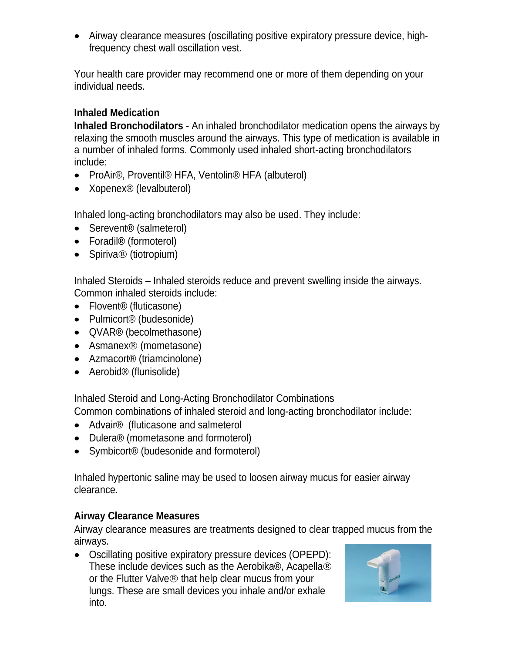Airway clearance measures (oscillating positive expiratory pressure device, highfrequency chest wall oscillation vest.

Your health care provider may recommend one or more of them depending on your individual needs.

# **Inhaled Medication**

**Inhaled Bronchodilators** - An inhaled bronchodilator medication opens the airways by relaxing the smooth muscles around the airways. This type of medication is available in a number of inhaled forms. Commonly used inhaled short-acting bronchodilators include:

- ProAir<sup>®</sup>, Proventil<sup>®</sup> HFA, Ventolin<sup>®</sup> HFA (albuterol)
- Xopenex<sup>®</sup> (levalbuterol)

Inhaled long-acting bronchodilators may also be used. They include:

- Serevent<sup>®</sup> (salmeterol)
- Foradil<sup>®</sup> (formoterol)
- $\bullet$  Spiriva $\circledR$  (tiotropium)

Inhaled Steroids – Inhaled steroids reduce and prevent swelling inside the airways. Common inhaled steroids include:

- Flovent® (fluticasone)
- Pulmicort<sup>®</sup> (budesonide)
- OVAR<sup>®</sup> (becolmethasone)
- Asmanex<sup>®</sup> (mometasone)
- Azmacort<sup>®</sup> (triamcinolone)
- Aerobid<sup>®</sup> (flunisolide)

Inhaled Steroid and Long-Acting Bronchodilator Combinations Common combinations of inhaled steroid and long-acting bronchodilator include:

- Advair<sup>®</sup> (fluticasone and salmeterol
- Dulera<sup>®</sup> (mometasone and formoterol)
- Symbicort<sup>®</sup> (budesonide and formoterol)

Inhaled hypertonic saline may be used to loosen airway mucus for easier airway clearance.

# **Airway Clearance Measures**

Airway clearance measures are treatments designed to clear trapped mucus from the airways.

 Oscillating positive expiratory pressure devices (OPEPD): These include devices such as the Aerobika®, Acapella or the Flutter Valve<sup>®</sup> that help clear mucus from your lungs. These are small devices you inhale and/or exhale into.

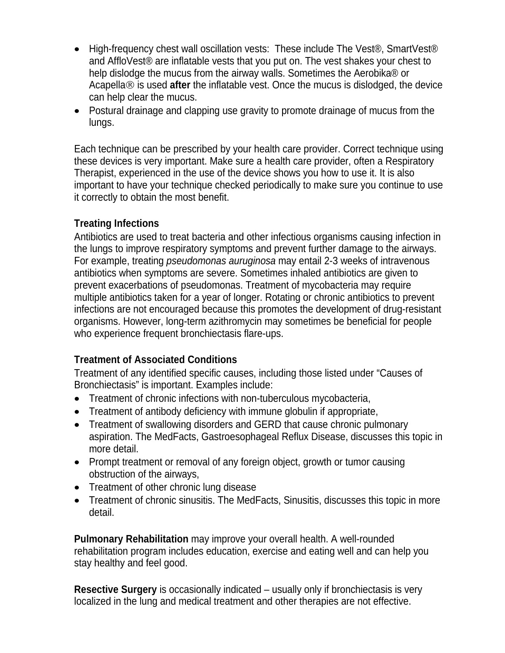- High-frequency chest wall oscillation vests: These include The Vest<sup>®</sup>, SmartVest<sup>®</sup> and AffloVest® are inflatable vests that you put on. The vest shakes your chest to help dislodge the mucus from the airway walls. Sometimes the Aerobika® or Acapella<sup>®</sup> is used after the inflatable vest. Once the mucus is dislodged, the device can help clear the mucus.
- Postural drainage and clapping use gravity to promote drainage of mucus from the lungs.

Each technique can be prescribed by your health care provider. Correct technique using these devices is very important. Make sure a health care provider, often a Respiratory Therapist, experienced in the use of the device shows you how to use it. It is also important to have your technique checked periodically to make sure you continue to use it correctly to obtain the most benefit.

#### **Treating Infections**

Antibiotics are used to treat bacteria and other infectious organisms causing infection in the lungs to improve respiratory symptoms and prevent further damage to the airways. For example, treating *pseudomonas auruginosa* may entail 2-3 weeks of intravenous antibiotics when symptoms are severe. Sometimes inhaled antibiotics are given to prevent exacerbations of pseudomonas. Treatment of mycobacteria may require multiple antibiotics taken for a year of longer. Rotating or chronic antibiotics to prevent infections are not encouraged because this promotes the development of drug-resistant organisms. However, long-term azithromycin may sometimes be beneficial for people who experience frequent bronchiectasis flare-ups.

# **Treatment of Associated Conditions**

Treatment of any identified specific causes, including those listed under "Causes of Bronchiectasis" is important. Examples include:

- Treatment of chronic infections with non-tuberculous mycobacteria,
- Treatment of antibody deficiency with immune globulin if appropriate,
- Treatment of swallowing disorders and GERD that cause chronic pulmonary aspiration. The MedFacts, Gastroesophageal Reflux Disease, discusses this topic in more detail.
- Prompt treatment or removal of any foreign object, growth or tumor causing obstruction of the airways,
- Treatment of other chronic lung disease
- Treatment of chronic sinusitis. The MedFacts, Sinusitis, discusses this topic in more detail.

**Pulmonary Rehabilitation** may improve your overall health. A well-rounded rehabilitation program includes education, exercise and eating well and can help you stay healthy and feel good.

**Resective Surgery** is occasionally indicated – usually only if bronchiectasis is very localized in the lung and medical treatment and other therapies are not effective.